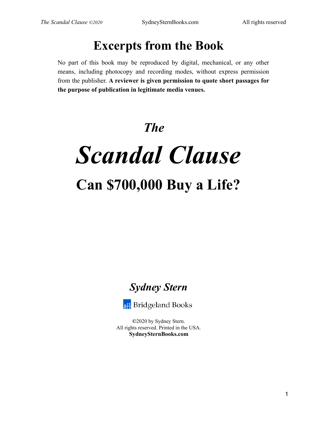## **Excerpts from the Book**

No part of this book may be reproduced by digital, mechanical, or any other means, including photocopy and recording modes, without express permission from the publisher. **A reviewer is given permission to quote short passages for the purpose of publication in legitimate media venues.**

## *The*

# *Scandal Clause*  **Can \$700,000 Buy a Life?**





**©**2020 by Sydney Stern. All rights reserved. Printed in the USA. **SydneySternBooks.com**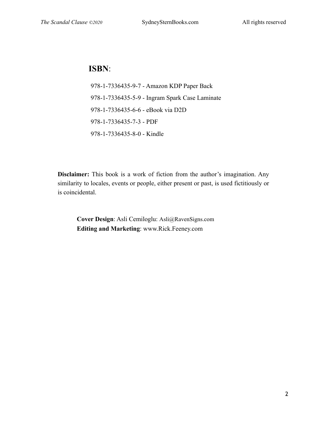### **ISBN**:

978-1-7336435-9-7 - Amazon KDP Paper Back 978-1-7336435-5-9 - Ingram Spark Case Laminate 978-1-7336435-6-6 - eBook via D2D 978-1-7336435-7-3 - PDF 978-1-7336435-8-0 - Kindle

**Disclaimer:** This book is a work of fiction from the author's imagination. Any similarity to locales, events or people, either present or past, is used fictitiously or is coincidental.

**Cover Design**: Asli Cemiloglu: Asli@RavenSigns.com **Editing and Marketing**: www.Rick.Feeney.com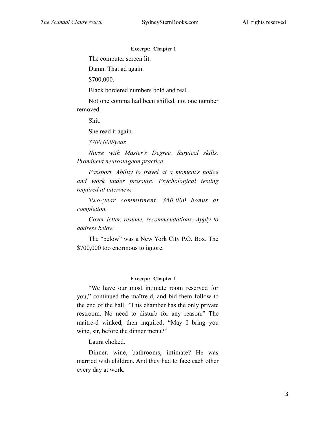#### **Excerpt: Chapter 1**

The computer screen lit.

Damn. That ad again.

\$700,000.

Black bordered numbers bold and real.

Not one comma had been shifted, not one number removed.

Shit.

She read it again.

*\$700,000/year.* 

*Nurse with Master's Degree. Surgical skills. Prominent neurosurgeon practice.* 

*Passport. Ability to travel at a moment's notice and work under pressure. Psychological testing required at interview.* 

*Two-year commitment. \$50,000 bonus at completion.* 

*Cover letter, resume, recommendations. Apply to address below* 

The "below" was a New York City P.O. Box. The \$700,000 too enormous to ignore.

#### **Excerpt: Chapter 1**

"We have our most intimate room reserved for you," continued the maître-d, and bid them follow to the end of the hall. "This chamber has the only private restroom. No need to disturb for any reason." The maître-d winked, then inquired, "May I bring you wine, sir, before the dinner menu?"

Laura choked.

Dinner, wine, bathrooms, intimate? He was married with children. And they had to face each other every day at work.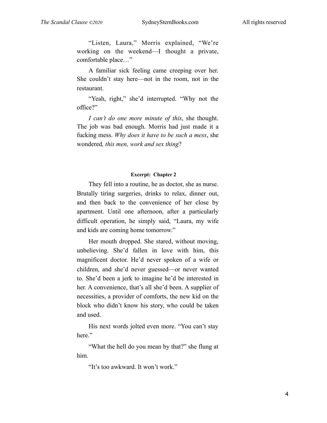"Listen, Laura," Morris explained, "We're working on the weekend—I thought a private, comfortable place…"

A familiar sick feeling came creeping over her. She couldn't stay here—not in the room, not in the restaurant.

"Yeah, right," she'd interrupted. "Why not the office?"

*I can't do one more minute of this*, she thought. The job was bad enough. Morris had just made it a fucking mess. *Why does it have to be such a mess*, she wondered*, this men, work and sex thing*?

#### **Excerpt: Chapter 2**

They fell into a routine, he as doctor, she as nurse. Brutally tiring surgeries, drinks to relax, dinner out, and then back to the convenience of her close by apartment. Until one afternoon, after a particularly difficult operation, he simply said, "Laura, my wife and kids are coming home tomorrow."

Her mouth dropped. She stared, without moving, unbelieving. She'd fallen in love with him, this magnificent doctor. He'd never spoken of a wife or children, and she'd never guessed—or never wanted to. She'd been a jerk to imagine he'd be interested in her. A convenience, that's all she'd been. A supplier of necessities, a provider of comforts, the new kid on the block who didn't know his story, who could be taken and used.

His next words jolted even more. "You can't stay here."

"What the hell do you mean by that?" she flung at him.

"It's too awkward. It won't work."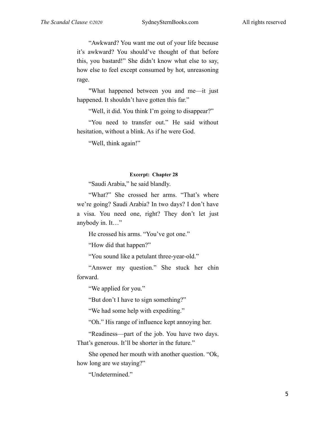"Awkward? You want me out of your life because it's awkward? You should've thought of that before this, you bastard!" She didn't know what else to say, how else to feel except consumed by hot, unreasoning rage.

"What happened between you and me—it just happened. It shouldn't have gotten this far."

"Well, it did. You think I'm going to disappear?"

"You need to transfer out." He said without hesitation, without a blink. As if he were God.

"Well, think again!"

#### **Excerpt: Chapter 28**

"Saudi Arabia," he said blandly.

"What?" She crossed her arms. "That's where we're going? Saudi Arabia? In two days? I don't have a visa. You need one, right? They don't let just anybody in. It…"

He crossed his arms. "You've got one."

"How did that happen?"

"You sound like a petulant three-year-old."

"Answer my question." She stuck her chin forward.

"We applied for you."

"But don't I have to sign something?"

"We had some help with expediting."

"Oh." His range of influence kept annoying her.

"Readiness—part of the job. You have two days. That's generous. It'll be shorter in the future."

She opened her mouth with another question. "Ok, how long are we staying?"

"Undetermined."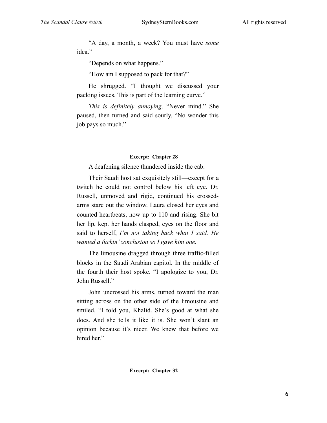"A day, a month, a week? You must have *some*  idea."

"Depends on what happens."

"How am I supposed to pack for that?"

He shrugged. "I thought we discussed your packing issues. This is part of the learning curve."

*This is definitely annoying*. "Never mind." She paused, then turned and said sourly, "No wonder this job pays so much."

#### **Excerpt: Chapter 28**

A deafening silence thundered inside the cab.

Their Saudi host sat exquisitely still—except for a twitch he could not control below his left eye. Dr. Russell, unmoved and rigid, continued his crossedarms stare out the window. Laura closed her eyes and counted heartbeats, now up to 110 and rising. She bit her lip, kept her hands clasped, eyes on the floor and said to herself, *I'm not taking back what I said. He wanted a fuckin' conclusion so I gave him one.*

The limousine dragged through three traffic-filled blocks in the Saudi Arabian capitol. In the middle of the fourth their host spoke. "I apologize to you, Dr. John Russell."

John uncrossed his arms, turned toward the man sitting across on the other side of the limousine and smiled. "I told you, Khalid. She's good at what she does. And she tells it like it is. She won't slant an opinion because it's nicer. We knew that before we hired her."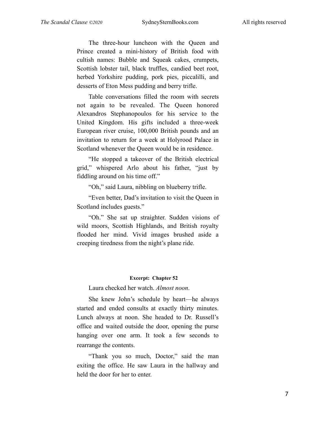The three-hour luncheon with the Queen and Prince created a mini-history of British food with cultish names: Bubble and Squeak cakes, crumpets, Scottish lobster tail, black truffles, candied beet root, herbed Yorkshire pudding, pork pies, piccalilli, and desserts of Eton Mess pudding and berry trifle.

Table conversations filled the room with secrets not again to be revealed. The Queen honored Alexandros Stephanopoulos for his service to the United Kingdom. His gifts included a three-week European river cruise, 100,000 British pounds and an invitation to return for a week at Holyrood Palace in Scotland whenever the Queen would be in residence.

"He stopped a takeover of the British electrical grid," whispered Arlo about his father, "just by fiddling around on his time off."

"Oh," said Laura, nibbling on blueberry trifle.

"Even better, Dad's invitation to visit the Queen in Scotland includes guests."

"Oh." She sat up straighter. Sudden visions of wild moors, Scottish Highlands, and British royalty flooded her mind. Vivid images brushed aside a creeping tiredness from the night's plane ride.

#### **Excerpt: Chapter 52**

Laura checked her watch. *Almost noon*.

She knew John's schedule by heart—he always started and ended consults at exactly thirty minutes. Lunch always at noon. She headed to Dr. Russell's office and waited outside the door, opening the purse hanging over one arm. It took a few seconds to rearrange the contents.

"Thank you so much, Doctor," said the man exiting the office. He saw Laura in the hallway and held the door for her to enter.